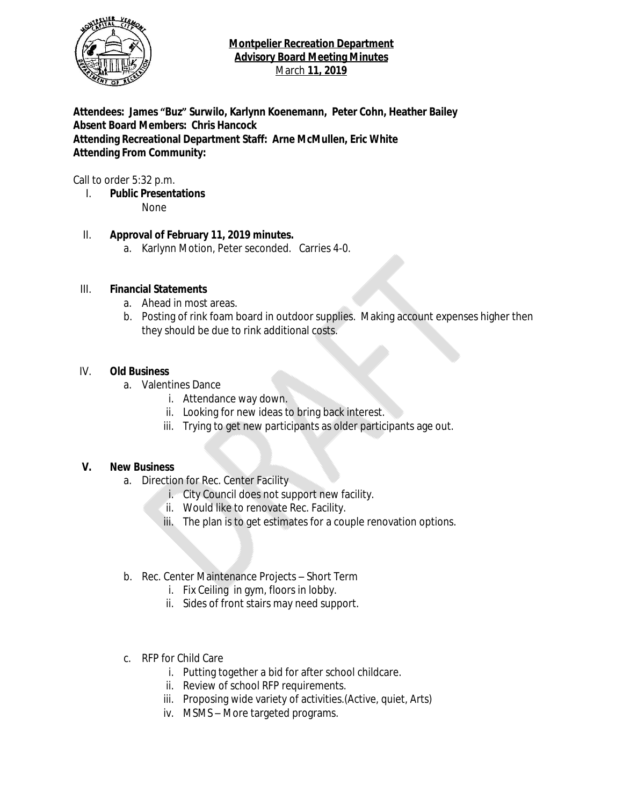

**Attendees: James "Buz" Surwilo, Karlynn Koenemann, Peter Cohn, Heather Bailey Absent Board Members: Chris Hancock Attending Recreational Department Staff: Arne McMullen, Eric White Attending From Community:**

Call to order 5:32 p.m.

I. **Public Presentations** None

# II. **Approval of February 11, 2019 minutes.**

a. Karlynn Motion, Peter seconded. Carries 4-0.

# III. **Financial Statements**

- a. Ahead in most areas.
- b. Posting of rink foam board in outdoor supplies. Making account expenses higher then they should be due to rink additional costs.

# IV. **Old Business**

- a. Valentines Dance
	- i. Attendance way down.
	- ii. Looking for new ideas to bring back interest.
	- iii. Trying to get new participants as older participants age out.

#### **V. New Business**

- a. Direction for Rec. Center Facility
	- i. City Council does not support new facility.
	- ii. Would like to renovate Rec. Facility.
	- iii. The plan is to get estimates for a couple renovation options.
- b. Rec. Center Maintenance Projects Short Term
	- i. Fix Ceiling in gym, floors in lobby.
	- ii. Sides of front stairs may need support.
- c. RFP for Child Care
	- i. Putting together a bid for after school childcare.
	- ii. Review of school RFP requirements.
	- iii. Proposing wide variety of activities.(Active, quiet, Arts)
	- iv. MSMS More targeted programs.